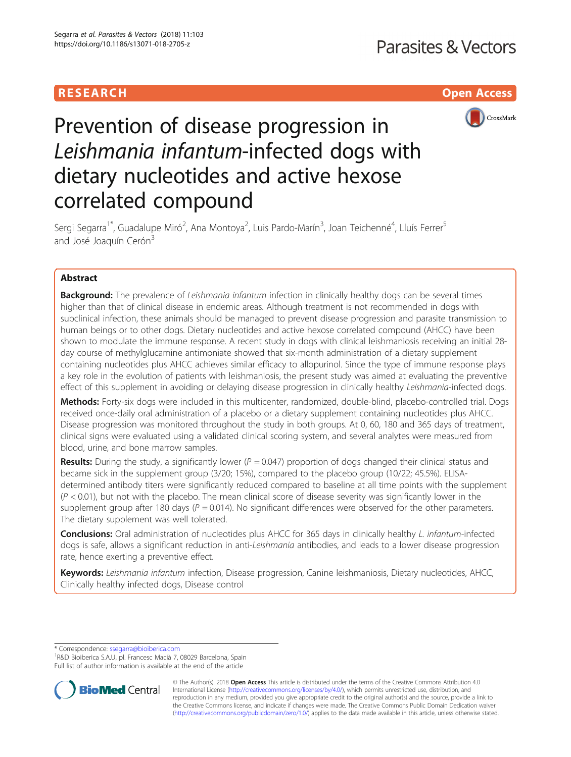# RESEARCH **RESEARCH CHOOSE ACCESS**



# Prevention of disease progression in Leishmania infantum-infected dogs with dietary nucleotides and active hexose correlated compound

Sergi Segarra<sup>1\*</sup>, Guadalupe Miró<sup>2</sup>, Ana Montoya<sup>2</sup>, Luis Pardo-Marín<sup>3</sup>, Joan Teichenné<sup>4</sup>, Lluís Ferrer<sup>5</sup> and José Joaquín Cerón<sup>3</sup>

# Abstract

**Background:** The prevalence of Leishmania infantum infection in clinically healthy dogs can be several times higher than that of clinical disease in endemic areas. Although treatment is not recommended in dogs with subclinical infection, these animals should be managed to prevent disease progression and parasite transmission to human beings or to other dogs. Dietary nucleotides and active hexose correlated compound (AHCC) have been shown to modulate the immune response. A recent study in dogs with clinical leishmaniosis receiving an initial 28 day course of methylglucamine antimoniate showed that six-month administration of a dietary supplement containing nucleotides plus AHCC achieves similar efficacy to allopurinol. Since the type of immune response plays a key role in the evolution of patients with leishmaniosis, the present study was aimed at evaluating the preventive effect of this supplement in avoiding or delaying disease progression in clinically healthy Leishmania-infected dogs.

Methods: Forty-six dogs were included in this multicenter, randomized, double-blind, placebo-controlled trial. Dogs received once-daily oral administration of a placebo or a dietary supplement containing nucleotides plus AHCC. Disease progression was monitored throughout the study in both groups. At 0, 60, 180 and 365 days of treatment, clinical signs were evaluated using a validated clinical scoring system, and several analytes were measured from blood, urine, and bone marrow samples.

**Results:** During the study, a significantly lower ( $P = 0.047$ ) proportion of dogs changed their clinical status and became sick in the supplement group (3/20; 15%), compared to the placebo group (10/22; 45.5%). ELISAdetermined antibody titers were significantly reduced compared to baseline at all time points with the supplement  $(P < 0.01)$ , but not with the placebo. The mean clinical score of disease severity was significantly lower in the supplement group after 180 days ( $P = 0.014$ ). No significant differences were observed for the other parameters. The dietary supplement was well tolerated.

Conclusions: Oral administration of nucleotides plus AHCC for 365 days in clinically healthy L. infantum-infected dogs is safe, allows a significant reduction in anti-Leishmania antibodies, and leads to a lower disease progression rate, hence exerting a preventive effect.

Keywords: Leishmania infantum infection, Disease progression, Canine leishmaniosis, Dietary nucleotides, AHCC, Clinically healthy infected dogs, Disease control

\* Correspondence: [ssegarra@bioiberica.com](mailto:ssegarra@bioiberica.com) <sup>1</sup>

<sup>1</sup>R&D Bioiberica S.A.U, pl. Francesc Macià 7, 08029 Barcelona, Spain Full list of author information is available at the end of the article



© The Author(s). 2018 Open Access This article is distributed under the terms of the Creative Commons Attribution 4.0 International License [\(http://creativecommons.org/licenses/by/4.0/](http://creativecommons.org/licenses/by/4.0/)), which permits unrestricted use, distribution, and reproduction in any medium, provided you give appropriate credit to the original author(s) and the source, provide a link to the Creative Commons license, and indicate if changes were made. The Creative Commons Public Domain Dedication waiver [\(http://creativecommons.org/publicdomain/zero/1.0/](http://creativecommons.org/publicdomain/zero/1.0/)) applies to the data made available in this article, unless otherwise stated.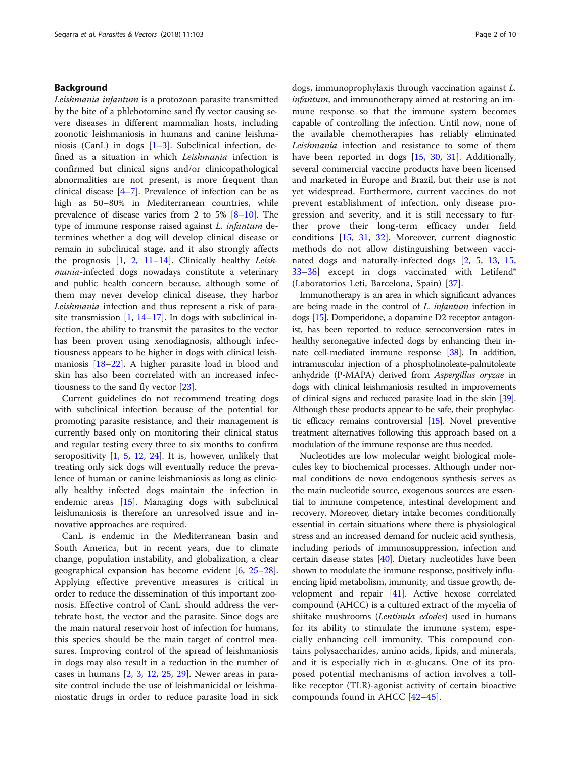# Background

Leishmania infantum is a protozoan parasite transmitted by the bite of a phlebotomine sand fly vector causing severe diseases in different mammalian hosts, including zoonotic leishmaniosis in humans and canine leishmaniosis (CanL) in dogs [[1](#page-8-0)–[3](#page-8-0)]. Subclinical infection, defined as a situation in which Leishmania infection is confirmed but clinical signs and/or clinicopathological abnormalities are not present, is more frequent than clinical disease [\[4](#page-8-0)–[7](#page-8-0)]. Prevalence of infection can be as high as 50–80% in Mediterranean countries, while prevalence of disease varies from 2 to 5% [[8](#page-8-0)–[10\]](#page-8-0). The type of immune response raised against L. infantum determines whether a dog will develop clinical disease or remain in subclinical stage, and it also strongly affects the prognosis [\[1,](#page-8-0) [2,](#page-8-0) [11](#page-8-0)–[14\]](#page-8-0). Clinically healthy Leishmania-infected dogs nowadays constitute a veterinary and public health concern because, although some of them may never develop clinical disease, they harbor Leishmania infection and thus represent a risk of parasite transmission  $[1, 14-17]$  $[1, 14-17]$  $[1, 14-17]$  $[1, 14-17]$  $[1, 14-17]$  $[1, 14-17]$ . In dogs with subclinical infection, the ability to transmit the parasites to the vector has been proven using xenodiagnosis, although infectiousness appears to be higher in dogs with clinical leishmaniosis [\[18](#page-8-0)–[22\]](#page-8-0). A higher parasite load in blood and skin has also been correlated with an increased infectiousness to the sand fly vector [[23\]](#page-8-0).

Current guidelines do not recommend treating dogs with subclinical infection because of the potential for promoting parasite resistance, and their management is currently based only on monitoring their clinical status and regular testing every three to six months to confirm seropositivity  $\begin{bmatrix} 1, 5, 12, 24 \end{bmatrix}$  $\begin{bmatrix} 1, 5, 12, 24 \end{bmatrix}$  $\begin{bmatrix} 1, 5, 12, 24 \end{bmatrix}$  $\begin{bmatrix} 1, 5, 12, 24 \end{bmatrix}$  $\begin{bmatrix} 1, 5, 12, 24 \end{bmatrix}$  $\begin{bmatrix} 1, 5, 12, 24 \end{bmatrix}$  $\begin{bmatrix} 1, 5, 12, 24 \end{bmatrix}$ . It is, however, unlikely that treating only sick dogs will eventually reduce the prevalence of human or canine leishmaniosis as long as clinically healthy infected dogs maintain the infection in endemic areas [\[15](#page-8-0)]. Managing dogs with subclinical leishmaniosis is therefore an unresolved issue and innovative approaches are required.

CanL is endemic in the Mediterranean basin and South America, but in recent years, due to climate change, population instability, and globalization, a clear geographical expansion has become evident [\[6](#page-8-0), [25](#page-8-0)–[28](#page-8-0)]. Applying effective preventive measures is critical in order to reduce the dissemination of this important zoonosis. Effective control of CanL should address the vertebrate host, the vector and the parasite. Since dogs are the main natural reservoir host of infection for humans, this species should be the main target of control measures. Improving control of the spread of leishmaniosis in dogs may also result in a reduction in the number of cases in humans  $[2, 3, 12, 25, 29]$  $[2, 3, 12, 25, 29]$  $[2, 3, 12, 25, 29]$  $[2, 3, 12, 25, 29]$  $[2, 3, 12, 25, 29]$  $[2, 3, 12, 25, 29]$  $[2, 3, 12, 25, 29]$  $[2, 3, 12, 25, 29]$  $[2, 3, 12, 25, 29]$  $[2, 3, 12, 25, 29]$  $[2, 3, 12, 25, 29]$ . Newer areas in parasite control include the use of leishmanicidal or leishmaniostatic drugs in order to reduce parasite load in sick

dogs, immunoprophylaxis through vaccination against L. infantum, and immunotherapy aimed at restoring an immune response so that the immune system becomes capable of controlling the infection. Until now, none of the available chemotherapies has reliably eliminated Leishmania infection and resistance to some of them have been reported in dogs [\[15](#page-8-0), [30](#page-8-0), [31\]](#page-8-0). Additionally, several commercial vaccine products have been licensed and marketed in Europe and Brazil, but their use is not yet widespread. Furthermore, current vaccines do not prevent establishment of infection, only disease progression and severity, and it is still necessary to further prove their long-term efficacy under field conditions [[15,](#page-8-0) [31](#page-8-0), [32](#page-9-0)]. Moreover, current diagnostic methods do not allow distinguishing between vaccinated dogs and naturally-infected dogs [\[2](#page-8-0), [5,](#page-8-0) [13](#page-8-0), [15](#page-8-0), [33](#page-9-0)–[36\]](#page-9-0) except in dogs vaccinated with Letifend® (Laboratorios Leti, Barcelona, Spain) [[37\]](#page-9-0).

Immunotherapy is an area in which significant advances are being made in the control of L. infantum infection in dogs [[15\]](#page-8-0). Domperidone, a dopamine D2 receptor antagonist, has been reported to reduce seroconversion rates in healthy seronegative infected dogs by enhancing their innate cell-mediated immune response [\[38\]](#page-9-0). In addition, intramuscular injection of a phospholinoleate-palmitoleate anhydride (P-MAPA) derived from Aspergillus oryzae in dogs with clinical leishmaniosis resulted in improvements of clinical signs and reduced parasite load in the skin [\[39](#page-9-0)]. Although these products appear to be safe, their prophylactic efficacy remains controversial [\[15\]](#page-8-0). Novel preventive treatment alternatives following this approach based on a modulation of the immune response are thus needed.

Nucleotides are low molecular weight biological molecules key to biochemical processes. Although under normal conditions de novo endogenous synthesis serves as the main nucleotide source, exogenous sources are essential to immune competence, intestinal development and recovery. Moreover, dietary intake becomes conditionally essential in certain situations where there is physiological stress and an increased demand for nucleic acid synthesis, including periods of immunosuppression, infection and certain disease states [[40](#page-9-0)]. Dietary nucleotides have been shown to modulate the immune response, positively influencing lipid metabolism, immunity, and tissue growth, development and repair [\[41](#page-9-0)]. Active hexose correlated compound (AHCC) is a cultured extract of the mycelia of shiitake mushrooms (Lentinula edodes) used in humans for its ability to stimulate the immune system, especially enhancing cell immunity. This compound contains polysaccharides, amino acids, lipids, and minerals, and it is especially rich in  $\alpha$ -glucans. One of its proposed potential mechanisms of action involves a tolllike receptor (TLR)-agonist activity of certain bioactive compounds found in AHCC [[42](#page-9-0)–[45](#page-9-0)].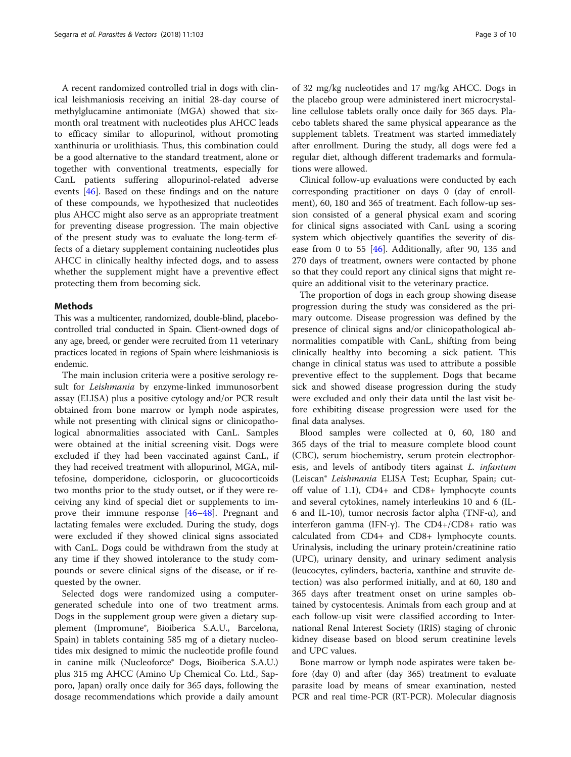A recent randomized controlled trial in dogs with clinical leishmaniosis receiving an initial 28-day course of methylglucamine antimoniate (MGA) showed that sixmonth oral treatment with nucleotides plus AHCC leads to efficacy similar to allopurinol, without promoting xanthinuria or urolithiasis. Thus, this combination could be a good alternative to the standard treatment, alone or together with conventional treatments, especially for CanL patients suffering allopurinol-related adverse events [[46\]](#page-9-0). Based on these findings and on the nature of these compounds, we hypothesized that nucleotides plus AHCC might also serve as an appropriate treatment for preventing disease progression. The main objective of the present study was to evaluate the long-term effects of a dietary supplement containing nucleotides plus AHCC in clinically healthy infected dogs, and to assess whether the supplement might have a preventive effect protecting them from becoming sick.

# Methods

This was a multicenter, randomized, double-blind, placebocontrolled trial conducted in Spain. Client-owned dogs of any age, breed, or gender were recruited from 11 veterinary practices located in regions of Spain where leishmaniosis is endemic.

The main inclusion criteria were a positive serology result for Leishmania by enzyme-linked immunosorbent assay (ELISA) plus a positive cytology and/or PCR result obtained from bone marrow or lymph node aspirates, while not presenting with clinical signs or clinicopathological abnormalities associated with CanL. Samples were obtained at the initial screening visit. Dogs were excluded if they had been vaccinated against CanL, if they had received treatment with allopurinol, MGA, miltefosine, domperidone, ciclosporin, or glucocorticoids two months prior to the study outset, or if they were receiving any kind of special diet or supplements to improve their immune response [[46](#page-9-0)–[48](#page-9-0)]. Pregnant and lactating females were excluded. During the study, dogs were excluded if they showed clinical signs associated with CanL. Dogs could be withdrawn from the study at any time if they showed intolerance to the study compounds or severe clinical signs of the disease, or if requested by the owner.

Selected dogs were randomized using a computergenerated schedule into one of two treatment arms. Dogs in the supplement group were given a dietary supplement (Impromune®, Bioiberica S.A.U., Barcelona, Spain) in tablets containing 585 mg of a dietary nucleotides mix designed to mimic the nucleotide profile found in canine milk (Nucleoforce® Dogs, Bioiberica S.A.U.) plus 315 mg AHCC (Amino Up Chemical Co. Ltd., Sapporo, Japan) orally once daily for 365 days, following the dosage recommendations which provide a daily amount of 32 mg/kg nucleotides and 17 mg/kg AHCC. Dogs in the placebo group were administered inert microcrystalline cellulose tablets orally once daily for 365 days. Placebo tablets shared the same physical appearance as the supplement tablets. Treatment was started immediately after enrollment. During the study, all dogs were fed a regular diet, although different trademarks and formulations were allowed.

Clinical follow-up evaluations were conducted by each corresponding practitioner on days 0 (day of enrollment), 60, 180 and 365 of treatment. Each follow-up session consisted of a general physical exam and scoring for clinical signs associated with CanL using a scoring system which objectively quantifies the severity of disease from 0 to 55  $[46]$  $[46]$ . Additionally, after 90, 135 and 270 days of treatment, owners were contacted by phone so that they could report any clinical signs that might require an additional visit to the veterinary practice.

The proportion of dogs in each group showing disease progression during the study was considered as the primary outcome. Disease progression was defined by the presence of clinical signs and/or clinicopathological abnormalities compatible with CanL, shifting from being clinically healthy into becoming a sick patient. This change in clinical status was used to attribute a possible preventive effect to the supplement. Dogs that became sick and showed disease progression during the study were excluded and only their data until the last visit before exhibiting disease progression were used for the final data analyses.

Blood samples were collected at 0, 60, 180 and 365 days of the trial to measure complete blood count (CBC), serum biochemistry, serum protein electrophoresis, and levels of antibody titers against L. infantum (Leiscan® Leishmania ELISA Test; Ecuphar, Spain; cutoff value of 1.1), CD4+ and CD8+ lymphocyte counts and several cytokines, namely interleukins 10 and 6 (IL-6 and IL-10), tumor necrosis factor alpha (TNF-α), and interferon gamma (IFN-γ). The  $CD4+/CD8+$  ratio was calculated from CD4+ and CD8+ lymphocyte counts. Urinalysis, including the urinary protein/creatinine ratio (UPC), urinary density, and urinary sediment analysis (leucocytes, cylinders, bacteria, xanthine and struvite detection) was also performed initially, and at 60, 180 and 365 days after treatment onset on urine samples obtained by cystocentesis. Animals from each group and at each follow-up visit were classified according to International Renal Interest Society (IRIS) staging of chronic kidney disease based on blood serum creatinine levels and UPC values.

Bone marrow or lymph node aspirates were taken before (day 0) and after (day 365) treatment to evaluate parasite load by means of smear examination, nested PCR and real time-PCR (RT-PCR). Molecular diagnosis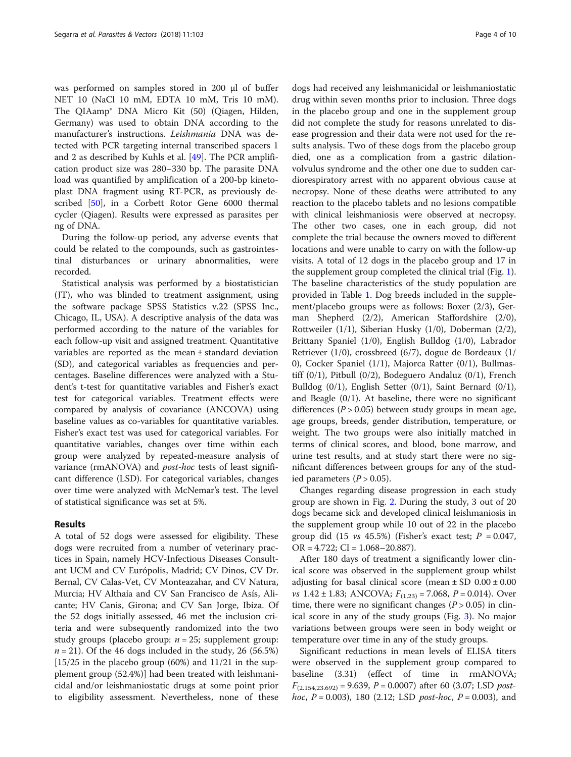was performed on samples stored in 200 μl of buffer NET 10 (NaCl 10 mM, EDTA 10 mM, Tris 10 mM). The QIAamp® DNA Micro Kit (50) (Qiagen, Hilden, Germany) was used to obtain DNA according to the manufacturer's instructions. Leishmania DNA was detected with PCR targeting internal transcribed spacers 1 and 2 as described by Kuhls et al. [\[49\]](#page-9-0). The PCR amplification product size was 280–330 bp. The parasite DNA load was quantified by amplification of a 200-bp kinetoplast DNA fragment using RT-PCR, as previously described [[50\]](#page-9-0), in a Corbett Rotor Gene 6000 thermal cycler (Qiagen). Results were expressed as parasites per ng of DNA.

During the follow-up period, any adverse events that could be related to the compounds, such as gastrointestinal disturbances or urinary abnormalities, were recorded.

Statistical analysis was performed by a biostatistician (JT), who was blinded to treatment assignment, using the software package SPSS Statistics v.22 (SPSS Inc., Chicago, IL, USA). A descriptive analysis of the data was performed according to the nature of the variables for each follow-up visit and assigned treatment. Quantitative variables are reported as the mean ± standard deviation (SD), and categorical variables as frequencies and percentages. Baseline differences were analyzed with a Student's t-test for quantitative variables and Fisher's exact test for categorical variables. Treatment effects were compared by analysis of covariance (ANCOVA) using baseline values as co-variables for quantitative variables. Fisher's exact test was used for categorical variables. For quantitative variables, changes over time within each group were analyzed by repeated-measure analysis of variance (rmANOVA) and post-hoc tests of least significant difference (LSD). For categorical variables, changes over time were analyzed with McNemar's test. The level of statistical significance was set at 5%.

# Results

A total of 52 dogs were assessed for eligibility. These dogs were recruited from a number of veterinary practices in Spain, namely HCV-Infectious Diseases Consultant UCM and CV Európolis, Madrid; CV Dinos, CV Dr. Bernal, CV Calas-Vet, CV Monteazahar, and CV Natura, Murcia; HV Althaía and CV San Francisco de Asís, Alicante; HV Canis, Girona; and CV San Jorge, Ibiza. Of the 52 dogs initially assessed, 46 met the inclusion criteria and were subsequently randomized into the two study groups (placebo group:  $n = 25$ ; supplement group:  $n = 21$ ). Of the 46 dogs included in the study, 26 (56.5%)  $[15/25]$  in the placebo group (60%) and  $11/21$  in the supplement group (52.4%)] had been treated with leishmanicidal and/or leishmaniostatic drugs at some point prior to eligibility assessment. Nevertheless, none of these

dogs had received any leishmanicidal or leishmaniostatic drug within seven months prior to inclusion. Three dogs in the placebo group and one in the supplement group did not complete the study for reasons unrelated to disease progression and their data were not used for the results analysis. Two of these dogs from the placebo group died, one as a complication from a gastric dilationvolvulus syndrome and the other one due to sudden cardiorespiratory arrest with no apparent obvious cause at necropsy. None of these deaths were attributed to any reaction to the placebo tablets and no lesions compatible with clinical leishmaniosis were observed at necropsy. The other two cases, one in each group, did not complete the trial because the owners moved to different locations and were unable to carry on with the follow-up visits. A total of 12 dogs in the placebo group and 17 in the supplement group completed the clinical trial (Fig. [1](#page-4-0)). The baseline characteristics of the study population are provided in Table [1](#page-4-0). Dog breeds included in the supplement/placebo groups were as follows: Boxer (2/3), German Shepherd (2/2), American Staffordshire (2/0), Rottweiler (1/1), Siberian Husky (1/0), Doberman (2/2), Brittany Spaniel (1/0), English Bulldog (1/0), Labrador Retriever (1/0), crossbreed (6/7), dogue de Bordeaux (1/ 0), Cocker Spaniel (1/1), Majorca Ratter (0/1), Bullmastiff (0/1), Pitbull (0/2), Bodeguero Andaluz (0/1), French Bulldog (0/1), English Setter (0/1), Saint Bernard (0/1), and Beagle (0/1). At baseline, there were no significant differences ( $P > 0.05$ ) between study groups in mean age, age groups, breeds, gender distribution, temperature, or weight. The two groups were also initially matched in terms of clinical scores, and blood, bone marrow, and urine test results, and at study start there were no significant differences between groups for any of the studied parameters  $(P > 0.05)$ .

Changes regarding disease progression in each study group are shown in Fig. [2](#page-5-0). During the study, 3 out of 20 dogs became sick and developed clinical leishmaniosis in the supplement group while 10 out of 22 in the placebo group did (15 *vs* 45.5%) (Fisher's exact test;  $P = 0.047$ ,  $OR = 4.722$ ;  $CI = 1.068 - 20.887$ ).

After 180 days of treatment a significantly lower clinical score was observed in the supplement group whilst adjusting for basal clinical score (mean  $\pm$  SD 0.00  $\pm$  0.00 *vs* 1.42 ± 1.83; ANCOVA;  $F_{(1,23)} = 7.068$ ,  $P = 0.014$ ). Over time, there were no significant changes ( $P > 0.05$ ) in clinical score in any of the study groups (Fig. [3](#page-5-0)). No major variations between groups were seen in body weight or temperature over time in any of the study groups.

Significant reductions in mean levels of ELISA titers were observed in the supplement group compared to baseline (3.31) (effect of time in rmANOVA;  $F_{(2.154,23.692)} = 9.639$ ,  $P = 0.0007$ ) after 60 (3.07; LSD *posthoc, P* = 0.003), 180 (2.12; LSD *post-hoc, P* = 0.003), and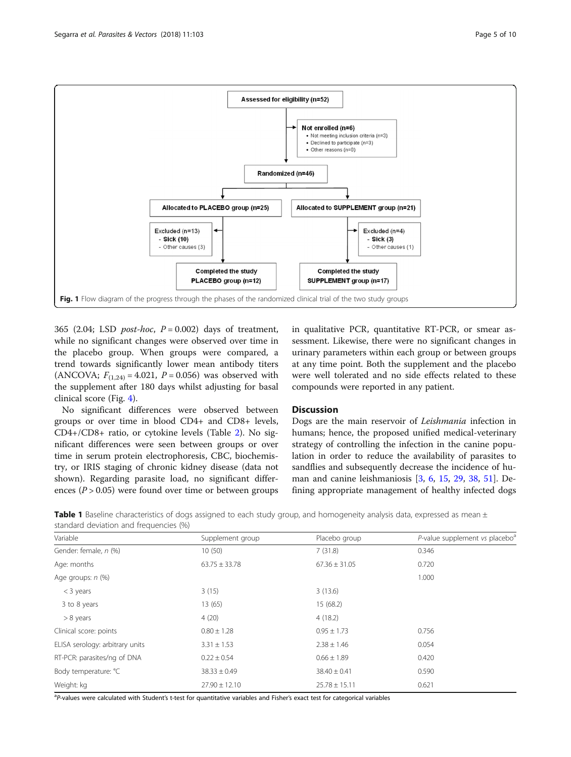<span id="page-4-0"></span>

365 (2.04; LSD *post-hoc*,  $P = 0.002$ ) days of treatment, while no significant changes were observed over time in the placebo group. When groups were compared, a trend towards significantly lower mean antibody titers (ANCOVA;  $F_{(1,24)} = 4.021$ ,  $P = 0.056$ ) was observed with the supplement after 180 days whilst adjusting for basal clinical score (Fig. [4](#page-5-0)).

No significant differences were observed between groups or over time in blood CD4+ and CD8+ levels, CD4+/CD8+ ratio, or cytokine levels (Table [2](#page-6-0)). No significant differences were seen between groups or over time in serum protein electrophoresis, CBC, biochemistry, or IRIS staging of chronic kidney disease (data not shown). Regarding parasite load, no significant differences ( $P > 0.05$ ) were found over time or between groups

in qualitative PCR, quantitative RT-PCR, or smear assessment. Likewise, there were no significant changes in urinary parameters within each group or between groups at any time point. Both the supplement and the placebo were well tolerated and no side effects related to these compounds were reported in any patient.

# **Discussion**

Dogs are the main reservoir of Leishmania infection in humans; hence, the proposed unified medical-veterinary strategy of controlling the infection in the canine population in order to reduce the availability of parasites to sandflies and subsequently decrease the incidence of human and canine leishmaniosis [\[3](#page-8-0), [6](#page-8-0), [15,](#page-8-0) [29](#page-8-0), [38,](#page-9-0) [51](#page-9-0)]. Defining appropriate management of healthy infected dogs

**Table 1** Baseline characteristics of dogs assigned to each study group, and homogeneity analysis data, expressed as mean  $\pm$ standard deviation and frequencies (%)

| Variable                        | Supplement group  | Placebo group     | $P$ -value supplement vs placebo $\sigma$ |  |
|---------------------------------|-------------------|-------------------|-------------------------------------------|--|
| Gender: female, n (%)           | 10(50)            | 7(31.8)           | 0.346                                     |  |
| Age: months                     | $63.75 \pm 33.78$ | $67.36 \pm 31.05$ | 0.720                                     |  |
| Age groups: n (%)               |                   |                   | 1.000                                     |  |
| $<$ 3 years                     | 3(15)             | 3(13.6)           |                                           |  |
| 3 to 8 years                    | 13(65)            | 15(68.2)          |                                           |  |
| $> 8$ years                     | 4(20)             | 4(18.2)           |                                           |  |
| Clinical score: points          | $0.80 \pm 1.28$   | $0.95 \pm 1.73$   | 0.756                                     |  |
| ELISA serology: arbitrary units | $3.31 \pm 1.53$   | $2.38 \pm 1.46$   | 0.054                                     |  |
| RT-PCR: parasites/ng of DNA     | $0.22 \pm 0.54$   | $0.66 \pm 1.89$   | 0.420                                     |  |
| Body temperature: °C            | $38.33 \pm 0.49$  | $38.40 \pm 0.41$  | 0.590                                     |  |
| Weight: kg                      | $27.90 \pm 12.10$ | $25.78 \pm 15.11$ | 0.621                                     |  |

a<sub>P-values were calculated with Student's t-test for quantitative variables and Fisher's exact test for categorical variables</sub>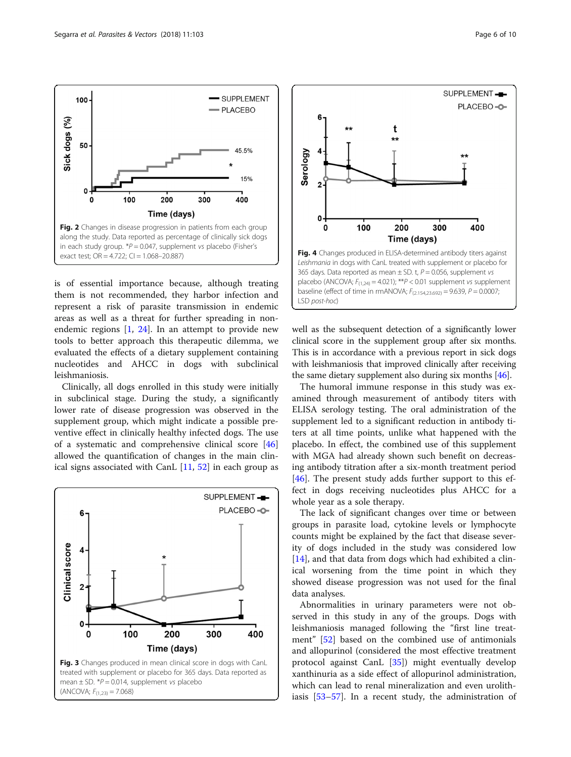<span id="page-5-0"></span>

is of essential importance because, although treating them is not recommended, they harbor infection and represent a risk of parasite transmission in endemic areas as well as a threat for further spreading in nonendemic regions  $[1, 24]$  $[1, 24]$  $[1, 24]$  $[1, 24]$ . In an attempt to provide new tools to better approach this therapeutic dilemma, we evaluated the effects of a dietary supplement containing nucleotides and AHCC in dogs with subclinical leishmaniosis.

Clinically, all dogs enrolled in this study were initially in subclinical stage. During the study, a significantly lower rate of disease progression was observed in the supplement group, which might indicate a possible preventive effect in clinically healthy infected dogs. The use of a systematic and comprehensive clinical score [[46](#page-9-0)] allowed the quantification of changes in the main clinical signs associated with CanL  $[11, 52]$  $[11, 52]$  $[11, 52]$  $[11, 52]$  in each group as





well as the subsequent detection of a significantly lower clinical score in the supplement group after six months. This is in accordance with a previous report in sick dogs with leishmaniosis that improved clinically after receiving the same dietary supplement also during six months [\[46\]](#page-9-0).

LSD post-hoc)

The humoral immune response in this study was examined through measurement of antibody titers with ELISA serology testing. The oral administration of the supplement led to a significant reduction in antibody titers at all time points, unlike what happened with the placebo. In effect, the combined use of this supplement with MGA had already shown such benefit on decreasing antibody titration after a six-month treatment period [[46\]](#page-9-0). The present study adds further support to this effect in dogs receiving nucleotides plus AHCC for a whole year as a sole therapy.

The lack of significant changes over time or between groups in parasite load, cytokine levels or lymphocyte counts might be explained by the fact that disease severity of dogs included in the study was considered low [[14\]](#page-8-0), and that data from dogs which had exhibited a clinical worsening from the time point in which they showed disease progression was not used for the final data analyses.

Abnormalities in urinary parameters were not observed in this study in any of the groups. Dogs with leishmaniosis managed following the "first line treatment" [\[52](#page-9-0)] based on the combined use of antimonials and allopurinol (considered the most effective treatment protocol against CanL [\[35](#page-9-0)]) might eventually develop xanthinuria as a side effect of allopurinol administration, which can lead to renal mineralization and even urolithiasis [[53](#page-9-0)–[57\]](#page-9-0). In a recent study, the administration of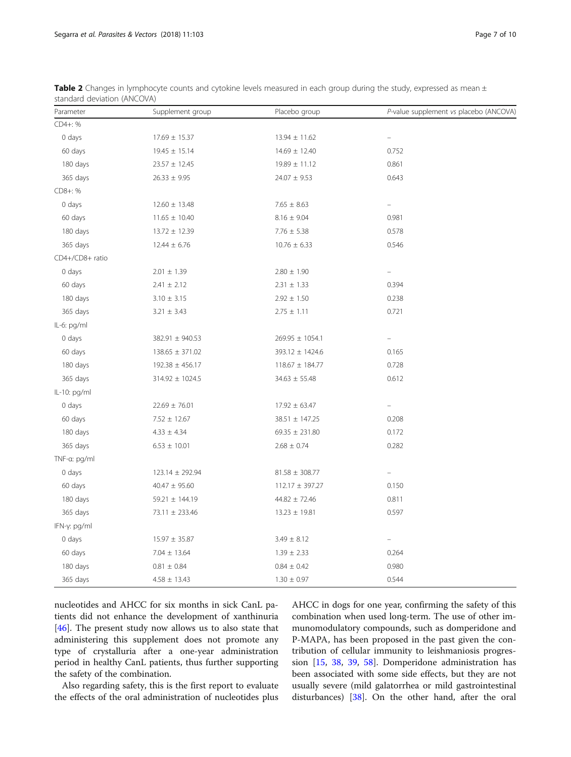| Parameter       | Supplement group    | Placebo group       | P-value supplement vs placebo (ANCOVA) |
|-----------------|---------------------|---------------------|----------------------------------------|
| CD4+: %         |                     |                     |                                        |
| 0 days          | $17.69 \pm 15.37$   | $13.94 \pm 11.62$   | $\qquad \qquad -$                      |
| 60 days         | $19.45 \pm 15.14$   | $14.69 \pm 12.40$   | 0.752                                  |
| 180 days        | $23.57 \pm 12.45$   | $19.89 \pm 11.12$   | 0.861                                  |
| 365 days        | $26.33 \pm 9.95$    | $24.07 \pm 9.53$    | 0.643                                  |
| CD8+: %         |                     |                     |                                        |
| 0 days          | $12.60 \pm 13.48$   | $7.65 \pm 8.63$     | $\equiv$                               |
| 60 days         | $11.65 \pm 10.40$   | $8.16 \pm 9.04$     | 0.981                                  |
| 180 days        | $13.72 \pm 12.39$   | $7.76 \pm 5.38$     | 0.578                                  |
| 365 days        | $12.44 \pm 6.76$    | $10.76 \pm 6.33$    | 0.546                                  |
| CD4+/CD8+ ratio |                     |                     |                                        |
| 0 days          | $2.01 \pm 1.39$     | $2.80 \pm 1.90$     | $\overline{\phantom{0}}$               |
| 60 days         | $2.41 \pm 2.12$     | $2.31 \pm 1.33$     | 0.394                                  |
| 180 days        | $3.10 \pm 3.15$     | $2.92 \pm 1.50$     | 0.238                                  |
| 365 days        | $3.21 \pm 3.43$     | $2.75 \pm 1.11$     | 0.721                                  |
| IL-6: pg/ml     |                     |                     |                                        |
| 0 days          | 382.91 ± 940.53     | $269.95 \pm 1054.1$ | $\equiv$                               |
| 60 days         | $138.65 \pm 371.02$ | 393.12 ± 1424.6     | 0.165                                  |
| 180 days        | $192.38 \pm 456.17$ | $118.67 \pm 184.77$ | 0.728                                  |
| 365 days        | 314.92 ± 1024.5     | $34.63 \pm 55.48$   | 0.612                                  |
| IL-10: pg/ml    |                     |                     |                                        |
| 0 days          | $22.69 \pm 76.01$   | $17.92 \pm 63.47$   | $\overline{\phantom{0}}$               |
| 60 days         | $7.52 \pm 12.67$    | $38.51 \pm 147.25$  | 0.208                                  |
| 180 days        | $4.33 \pm 4.34$     | $69.35 \pm 231.80$  | 0.172                                  |
| 365 days        | $6.53 \pm 10.01$    | $2.68 \pm 0.74$     | 0.282                                  |
| TNF-a: pg/ml    |                     |                     |                                        |
| 0 days          | 123.14 ± 292.94     | $81.58 \pm 308.77$  | $\equiv$                               |
| 60 days         | $40.47 \pm 95.60$   | $112.17 \pm 397.27$ | 0.150                                  |
| 180 days        | $59.21 \pm 144.19$  | $44.82 \pm 72.46$   | 0.811                                  |
| 365 days        | 73.11 ± 233.46      | $13.23 \pm 19.81$   | 0.597                                  |
| IFN-y: pg/ml    |                     |                     |                                        |
| 0 days          | $15.97 \pm 35.87$   | $3.49 \pm 8.12$     | $\equiv$                               |
| 60 days         | $7.04 \pm 13.64$    | $1.39 \pm 2.33$     | 0.264                                  |
| 180 days        | $0.81 \pm 0.84$     | $0.84 \pm 0.42$     | 0.980                                  |
| 365 days        | $4.58 \pm 13.43$    | $1.30 \pm 0.97$     | 0.544                                  |

<span id="page-6-0"></span>Table 2 Changes in lymphocyte counts and cytokine levels measured in each group during the study, expressed as mean  $\pm$ standard deviation (ANCOVA)

nucleotides and AHCC for six months in sick CanL patients did not enhance the development of xanthinuria [[46\]](#page-9-0). The present study now allows us to also state that administering this supplement does not promote any type of crystalluria after a one-year administration period in healthy CanL patients, thus further supporting the safety of the combination.

Also regarding safety, this is the first report to evaluate the effects of the oral administration of nucleotides plus AHCC in dogs for one year, confirming the safety of this combination when used long-term. The use of other immunomodulatory compounds, such as domperidone and P-MAPA, has been proposed in the past given the contribution of cellular immunity to leishmaniosis progression [\[15](#page-8-0), [38](#page-9-0), [39,](#page-9-0) [58](#page-9-0)]. Domperidone administration has been associated with some side effects, but they are not usually severe (mild galatorrhea or mild gastrointestinal disturbances) [[38\]](#page-9-0). On the other hand, after the oral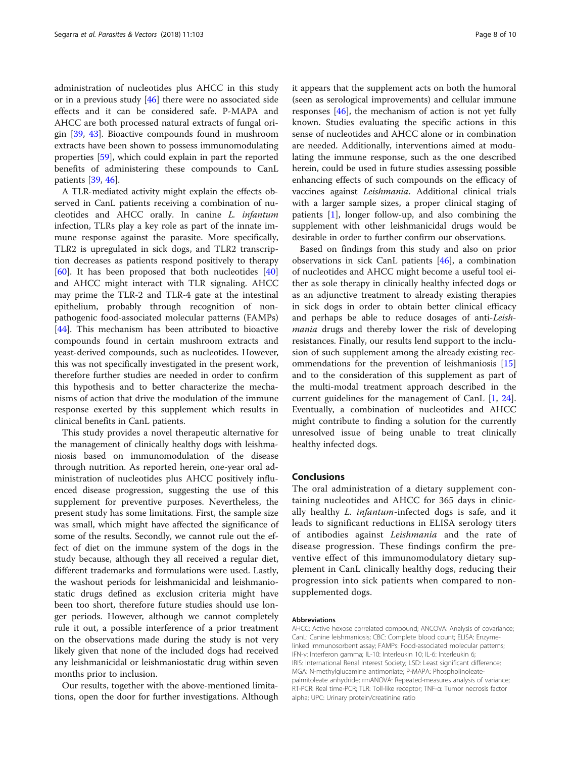administration of nucleotides plus AHCC in this study or in a previous study [[46](#page-9-0)] there were no associated side effects and it can be considered safe. P-MAPA and AHCC are both processed natural extracts of fungal origin [[39,](#page-9-0) [43\]](#page-9-0). Bioactive compounds found in mushroom extracts have been shown to possess immunomodulating properties [\[59](#page-9-0)], which could explain in part the reported benefits of administering these compounds to CanL patients [\[39,](#page-9-0) [46\]](#page-9-0).

A TLR-mediated activity might explain the effects observed in CanL patients receiving a combination of nucleotides and AHCC orally. In canine L. infantum infection, TLRs play a key role as part of the innate immune response against the parasite. More specifically, TLR2 is upregulated in sick dogs, and TLR2 transcription decreases as patients respond positively to therapy  $[60]$  $[60]$ . It has been proposed that both nucleotides  $[40]$  $[40]$  $[40]$ and AHCC might interact with TLR signaling. AHCC may prime the TLR-2 and TLR-4 gate at the intestinal epithelium, probably through recognition of nonpathogenic food-associated molecular patterns (FAMPs) [[44\]](#page-9-0). This mechanism has been attributed to bioactive compounds found in certain mushroom extracts and yeast-derived compounds, such as nucleotides. However, this was not specifically investigated in the present work, therefore further studies are needed in order to confirm this hypothesis and to better characterize the mechanisms of action that drive the modulation of the immune response exerted by this supplement which results in clinical benefits in CanL patients.

This study provides a novel therapeutic alternative for the management of clinically healthy dogs with leishmaniosis based on immunomodulation of the disease through nutrition. As reported herein, one-year oral administration of nucleotides plus AHCC positively influenced disease progression, suggesting the use of this supplement for preventive purposes. Nevertheless, the present study has some limitations. First, the sample size was small, which might have affected the significance of some of the results. Secondly, we cannot rule out the effect of diet on the immune system of the dogs in the study because, although they all received a regular diet, different trademarks and formulations were used. Lastly, the washout periods for leishmanicidal and leishmaniostatic drugs defined as exclusion criteria might have been too short, therefore future studies should use longer periods. However, although we cannot completely rule it out, a possible interference of a prior treatment on the observations made during the study is not very likely given that none of the included dogs had received any leishmanicidal or leishmaniostatic drug within seven months prior to inclusion.

Our results, together with the above-mentioned limitations, open the door for further investigations. Although it appears that the supplement acts on both the humoral (seen as serological improvements) and cellular immune responses [\[46](#page-9-0)], the mechanism of action is not yet fully known. Studies evaluating the specific actions in this sense of nucleotides and AHCC alone or in combination are needed. Additionally, interventions aimed at modulating the immune response, such as the one described herein, could be used in future studies assessing possible enhancing effects of such compounds on the efficacy of vaccines against Leishmania. Additional clinical trials with a larger sample sizes, a proper clinical staging of patients [[1\]](#page-8-0), longer follow-up, and also combining the supplement with other leishmanicidal drugs would be desirable in order to further confirm our observations.

Based on findings from this study and also on prior observations in sick CanL patients [[46\]](#page-9-0), a combination of nucleotides and AHCC might become a useful tool either as sole therapy in clinically healthy infected dogs or as an adjunctive treatment to already existing therapies in sick dogs in order to obtain better clinical efficacy and perhaps be able to reduce dosages of anti-Leishmania drugs and thereby lower the risk of developing resistances. Finally, our results lend support to the inclusion of such supplement among the already existing recommendations for the prevention of leishmaniosis [[15](#page-8-0)] and to the consideration of this supplement as part of the multi-modal treatment approach described in the current guidelines for the management of CanL [[1](#page-8-0), [24](#page-8-0)]. Eventually, a combination of nucleotides and AHCC might contribute to finding a solution for the currently unresolved issue of being unable to treat clinically healthy infected dogs.

# Conclusions

The oral administration of a dietary supplement containing nucleotides and AHCC for 365 days in clinically healthy L. infantum-infected dogs is safe, and it leads to significant reductions in ELISA serology titers of antibodies against Leishmania and the rate of disease progression. These findings confirm the preventive effect of this immunomodulatory dietary supplement in CanL clinically healthy dogs, reducing their progression into sick patients when compared to nonsupplemented dogs.

#### Abbreviations

AHCC: Active hexose correlated compound; ANCOVA: Analysis of covariance; CanL: Canine leishmaniosis; CBC: Complete blood count; ELISA: Enzymelinked immunosorbent assay; FAMPs: Food-associated molecular patterns; IFN-γ: Interferon gamma; IL-10: Interleukin 10; IL-6: Interleukin 6; IRIS: International Renal Interest Society; LSD: Least significant difference; MGA: N-methylglucamine antimoniate; P-MAPA: Phospholinoleatepalmitoleate anhydride; rmANOVA: Repeated-measures analysis of variance; RT-PCR: Real time-PCR; TLR: Toll-like receptor; TNF-α: Tumor necrosis factor alpha; UPC: Urinary protein/creatinine ratio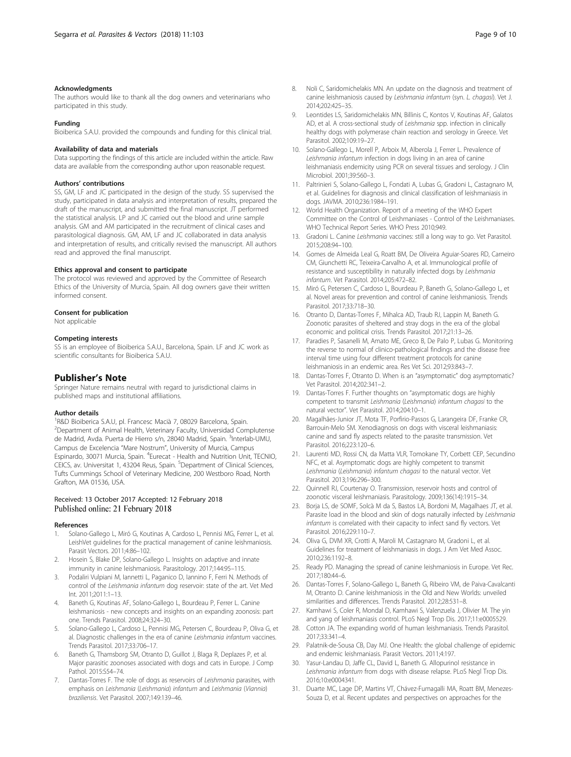# <span id="page-8-0"></span>Acknowledgments

The authors would like to thank all the dog owners and veterinarians who participated in this study.

#### Funding

Bioiberica S.A.U. provided the compounds and funding for this clinical trial.

#### Availability of data and materials

Data supporting the findings of this article are included within the article. Raw data are available from the corresponding author upon reasonable request.

#### Authors' contributions

SS, GM, LF and JC participated in the design of the study. SS supervised the study, participated in data analysis and interpretation of results, prepared the draft of the manuscript, and submitted the final manuscript. JT performed the statistical analysis. LP and JC carried out the blood and urine sample analysis. GM and AM participated in the recruitment of clinical cases and parasitological diagnosis. GM, AM, LF and JC collaborated in data analysis and interpretation of results, and critically revised the manuscript. All authors read and approved the final manuscript.

#### Ethics approval and consent to participate

The protocol was reviewed and approved by the Committee of Research Ethics of the University of Murcia, Spain. All dog owners gave their written informed consent.

# Consent for publication

Not applicable

# Competing interests

SS is an employee of Bioiberica S.A.U., Barcelona, Spain. LF and JC work as scientific consultants for Bioiberica S.A.U.

#### Publisher's Note

Springer Nature remains neutral with regard to jurisdictional claims in published maps and institutional affiliations.

#### Author details

<sup>1</sup>R&D Bioiberica S.A.U, pl. Francesc Macià 7, 08029 Barcelona, Spain. <sup>2</sup> Department of Animal Health, Veterinary Faculty, Universidad Complutense de Madrid, Avda. Puerta de Hierro s/n, 28040 Madrid, Spain. <sup>3</sup>Interlab-UMU, Campus de Excelencia "Mare Nostrum", University of Murcia, Campus Espinardo, 30071 Murcia, Spain. <sup>4</sup>Eurecat - Health and Nutrition Unit, TECNIO, CEICS, av. Universitat 1, 43204 Reus, Spain. <sup>5</sup>Department of Clinical Sciences, Tufts Cummings School of Veterinary Medicine, 200 Westboro Road, North Grafton, MA 01536, USA.

## Received: 13 October 2017 Accepted: 12 February 2018 Published online: 21 February 2018

#### References

- Solano-Gallego L, Miró G, Koutinas A, Cardoso L, Pennisi MG, Ferrer L, et al. LeishVet guidelines for the practical management of canine leishmaniosis. Parasit Vectors. 2011;4:86-102.
- 2. Hosein S, Blake DP, Solano-Gallego L. Insights on adaptive and innate immunity in canine leishmaniosis. Parasitology. 2017;144:95–115.
- 3. Podaliri Vulpiani M, Iannetti L, Paganico D, Iannino F, Ferri N. Methods of control of the Leishmania infantum dog reservoir: state of the art. Vet Med Int. 2011;2011:1–13.
- 4. Baneth G, Koutinas AF, Solano-Gallego L, Bourdeau P, Ferrer L. Canine leishmaniosis - new concepts and insights on an expanding zoonosis: part one. Trends Parasitol. 2008;24:324–30.
- 5. Solano-Gallego L, Cardoso L, Pennisi MG, Petersen C, Bourdeau P, Oliva G, et al. Diagnostic challenges in the era of canine Leishmania infantum vaccines. Trends Parasitol. 2017;33:706–17.
- 6. Baneth G, Thamsborg SM, Otranto D, Guillot J, Blaga R, Deplazes P, et al. Major parasitic zoonoses associated with dogs and cats in Europe. J Comp Pathol. 2015:S54–74.
- Dantas-Torres F. The role of dogs as reservoirs of Leishmania parasites, with emphasis on Leishmania (Leishmania) infantum and Leishmania (Viannia) braziliensis. Vet Parasitol. 2007;149:139–46.
- 8. Noli C, Saridomichelakis MN. An update on the diagnosis and treatment of canine leishmaniosis caused by Leishmania infantum (syn. L. chagasi). Vet J. 2014;202:425–35.
- 9. Leontides LS, Saridomichelakis MN, Billinis C, Kontos V, Koutinas AF, Galatos AD, et al. A cross-sectional study of Leishmania spp. infection in clinically healthy dogs with polymerase chain reaction and serology in Greece. Vet Parasitol. 2002;109:19–27.
- 10. Solano-Gallego L, Morell P, Arboix M, Alberola J, Ferrer L. Prevalence of Leishmania infantum infection in dogs living in an area of canine leishmaniasis endemicity using PCR on several tissues and serology. J Clin Microbiol. 2001;39:560–3.
- 11. Paltrinieri S, Solano-Gallego L, Fondati A, Lubas G, Gradoni L, Castagnaro M, et al. Guidelines for diagnosis and clinical classification of leishmaniasis in dogs. JAVMA. 2010;236:1984–191.
- 12. World Health Organization. Report of a meeting of the WHO Expert Committee on the Control of Leishmaniases - Control of the Leishmaniases. WHO Technical Report Series. WHO Press 2010;949.
- 13. Gradoni L. Canine Leishmania vaccines: still a long way to go. Vet Parasitol. 2015;208:94–100.
- 14. Gomes de Almeida Leal G, Roatt BM, De Oliveira Aguiar-Soares RD, Carneiro CM, Giunchetti RC, Teixeira-Carvalho A, et al. Immunological profile of resistance and susceptibility in naturally infected dogs by Leishmania infantum. Vet Parasitol. 2014;205:472–82.
- 15. Miró G, Petersen C, Cardoso L, Bourdeau P, Baneth G, Solano-Gallego L, et al. Novel areas for prevention and control of canine leishmaniosis. Trends Parasitol. 2017;33:718–30.
- 16. Otranto D, Dantas-Torres F, Mihalca AD, Traub RJ, Lappin M, Baneth G. Zoonotic parasites of sheltered and stray dogs in the era of the global economic and political crisis. Trends Parasitol. 2017;21:13–26.
- 17. Paradies P, Sasanelli M, Amato ME, Greco B, De Palo P, Lubas G. Monitoring the reverse to normal of clinico-pathological findings and the disease free interval time using four different treatment protocols for canine leishmaniosis in an endemic area. Res Vet Sci. 2012;93:843–7.
- 18. Dantas-Torres F, Otranto D. When is an "asymptomatic" dog asymptomatic? Vet Parasitol. 2014;202:341–2.
- 19. Dantas-Torres F. Further thoughts on "asymptomatic dogs are highly competent to transmit Leishmania (Leishmania) infantum chagasi to the natural vector". Vet Parasitol. 2014;204:10–1.
- 20. Magalhães-Junior JT, Mota TF, Porfirio-Passos G, Larangeira DF, Franke CR, Barrouin-Melo SM. Xenodiagnosis on dogs with visceral leishmaniasis: canine and sand fly aspects related to the parasite transmission. Vet Parasitol. 2016;223:120–6.
- 21. Laurenti MD, Rossi CN, da Matta VLR, Tomokane TY, Corbett CEP, Secundino NFC, et al. Asymptomatic dogs are highly competent to transmit Leishmania (Leishmania) infantum chagasi to the natural vector. Vet Parasitol. 2013;196:296–300.
- 22. Quinnell RJ, Courtenay O. Transmission, reservoir hosts and control of zoonotic visceral leishmaniasis. Parasitology. 2009;136(14):1915–34.
- 23. Borja LS, de SOMF, Solcà M da S, Bastos LA, Bordoni M, Magalhaes JT, et al. Parasite load in the blood and skin of dogs naturally infected by Leishmania infantum is correlated with their capacity to infect sand fly vectors. Vet Parasitol. 2016;229:110–7.
- 24. Oliva G, DVM XR, Crotti A, Maroli M, Castagnaro M, Gradoni L, et al. Guidelines for treatment of leishmaniasis in dogs. J Am Vet Med Assoc. 2010;236:1192–8.
- 25. Ready PD. Managing the spread of canine leishmaniosis in Europe. Vet Rec. 2017;180:44–6.
- 26. Dantas-Torres F, Solano-Gallego L, Baneth G, Ribeiro VM, de Paiva-Cavalcanti M, Otranto D. Canine leishmaniosis in the Old and New Worlds: unveiled similarities and differences. Trends Parasitol. 2012;28:531–8.
- Kamhawi S, Coler R, Mondal D, Kamhawi S, Valenzuela J, Olivier M. The yin and yang of leishmaniasis control. PLoS Negl Trop Dis. 2017;11:e0005529.
- 28. Cotton JA. The expanding world of human leishmaniasis. Trends Parasitol. 2017;33:341–4.
- 29. Palatnik-de-Sousa CB, Day MJ. One Health: the global challenge of epidemic and endemic leishmaniasis. Parasit Vectors. 2011;4:197.
- 30. Yasur-Landau D, Jaffe CL, David L, Baneth G. Allopurinol resistance in Leishmania infantum from dogs with disease relapse. PLoS Negl Trop Dis. 2016;10:e0004341.
- 31. Duarte MC, Lage DP, Martins VT, Chávez-Fumagalli MA, Roatt BM, Menezes-Souza D, et al. Recent updates and perspectives on approaches for the